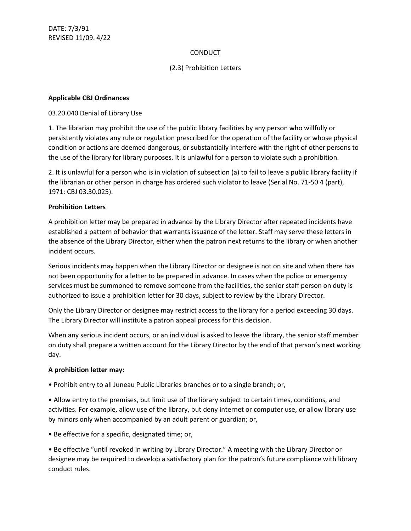# **CONDUCT**

## (2.3) Prohibition Letters

#### **Applicable CBJ Ordinances**

#### 03.20.040 Denial of Library Use

1. The librarian may prohibit the use of the public library facilities by any person who willfully or persistently violates any rule or regulation prescribed for the operation of the facility or whose physical condition or actions are deemed dangerous, or substantially interfere with the right of other persons to the use of the library for library purposes. It is unlawful for a person to violate such a prohibition.

2. It is unlawful for a person who is in violation of subsection (a) to fail to leave a public library facility if the librarian or other person in charge has ordered such violator to leave (Serial No. 71-50 4 (part), 1971: CBJ 03.30.025).

### **Prohibition Letters**

A prohibition letter may be prepared in advance by the Library Director after repeated incidents have established a pattern of behavior that warrants issuance of the letter. Staff may serve these letters in the absence of the Library Director, either when the patron next returns to the library or when another incident occurs.

Serious incidents may happen when the Library Director or designee is not on site and when there has not been opportunity for a letter to be prepared in advance. In cases when the police or emergency services must be summoned to remove someone from the facilities, the senior staff person on duty is authorized to issue a prohibition letter for 30 days, subject to review by the Library Director.

Only the Library Director or designee may restrict access to the library for a period exceeding 30 days. The Library Director will institute a patron appeal process for this decision.

When any serious incident occurs, or an individual is asked to leave the library, the senior staff member on duty shall prepare a written account for the Library Director by the end of that person's next working day.

#### **A prohibition letter may:**

• Prohibit entry to all Juneau Public Libraries branches or to a single branch; or,

• Allow entry to the premises, but limit use of the library subject to certain times, conditions, and activities. For example, allow use of the library, but deny internet or computer use, or allow library use by minors only when accompanied by an adult parent or guardian; or,

• Be effective for a specific, designated time; or,

• Be effective "until revoked in writing by Library Director." A meeting with the Library Director or designee may be required to develop a satisfactory plan for the patron's future compliance with library conduct rules.